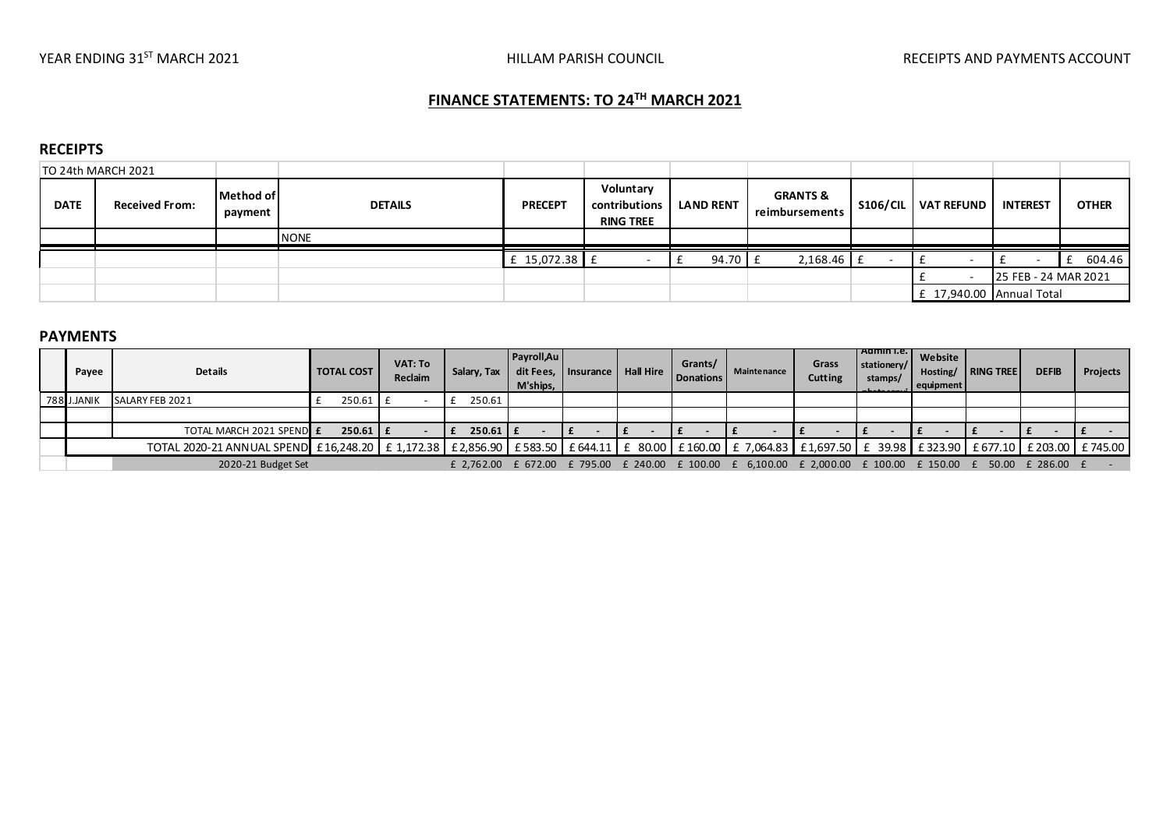# FINANCE STATEMENTS: TO 24TH MARCH 2021

#### **RECEIPTS**

|             | TO 24th MARCH 2021    |                      |                |                |                                                |                  |                                       |                 |                          |                      |              |
|-------------|-----------------------|----------------------|----------------|----------------|------------------------------------------------|------------------|---------------------------------------|-----------------|--------------------------|----------------------|--------------|
| <b>DATE</b> | <b>Received From:</b> | Method of<br>payment | <b>DETAILS</b> | <b>PRECEPT</b> | Voluntary<br>contributions<br><b>RING TREE</b> | <b>LAND RENT</b> | <b>GRANTS &amp;</b><br>reimbursements | <b>S106/CIL</b> | <b>VAT REFUND</b>        | <b>INTEREST</b>      | <b>OTHER</b> |
|             |                       |                      | <b>NONE</b>    |                |                                                |                  |                                       |                 |                          |                      |              |
|             |                       |                      |                | £ $15,072.38$  |                                                | 94.70            | $2,168.46$ £                          |                 |                          |                      | 604.46       |
|             |                       |                      |                |                |                                                |                  |                                       |                 |                          | 25 FEB - 24 MAR 2021 |              |
|             |                       |                      |                |                |                                                |                  |                                       |                 | £ 17,940.00 Annual Total |                      |              |

### PAYMENTS

| Pavee       | <b>Details</b>                                                                                                                                             | <b>TOTAL COST</b> | VAT: To<br>Reclaim | Salary, Tax        | Payroll, Au<br>M'ships. | dit Fees. Insurance   Hall Hire | Grants/<br>Donations | <b>Mainte nance</b>                                                                            | Grass<br><b>Cutting</b> | Admin I.e.<br>stationery/<br>stamps/ | Website<br>Hosting/<br>equipment | <b>I RING TREE</b> | <b>DEFIB</b> | <b>Projects</b> |
|-------------|------------------------------------------------------------------------------------------------------------------------------------------------------------|-------------------|--------------------|--------------------|-------------------------|---------------------------------|----------------------|------------------------------------------------------------------------------------------------|-------------------------|--------------------------------------|----------------------------------|--------------------|--------------|-----------------|
| 788 J.JANIK | SALARY FEB 2021                                                                                                                                            | $250.61$ $E$      |                    | 250.61             |                         |                                 |                      |                                                                                                |                         |                                      |                                  |                    |              |                 |
|             |                                                                                                                                                            |                   |                    |                    |                         |                                 |                      |                                                                                                |                         |                                      |                                  |                    |              |                 |
|             | TOTAL MARCH 2021 SPEND E                                                                                                                                   | $250.61$ $E$      |                    | $250.61 \text{ F}$ |                         |                                 |                      |                                                                                                |                         |                                      |                                  |                    |              |                 |
|             | TOTAL 2020-21 ANNUAL SPEND £16,248.20 £1,172.38 £2,856.90 £583.50 £644.11 £ 80.00 £160.00 £ 7,064.83 £1,697.50 £ 39.98 £ 323.90 £ 677.10 £ 203.00 £ 745.00 |                   |                    |                    |                         |                                 |                      |                                                                                                |                         |                                      |                                  |                    |              |                 |
|             | 2020-21 Budget Set                                                                                                                                         |                   |                    |                    |                         |                                 |                      | £ 2,762.00 £ 672.00 £ 795.00 £ 240.00 £ 100.00 £ 6,100.00 £ 2,000.00 £ 100.00 £ 150.00 £ 50.00 |                         |                                      |                                  |                    | £ 286.00 £   |                 |